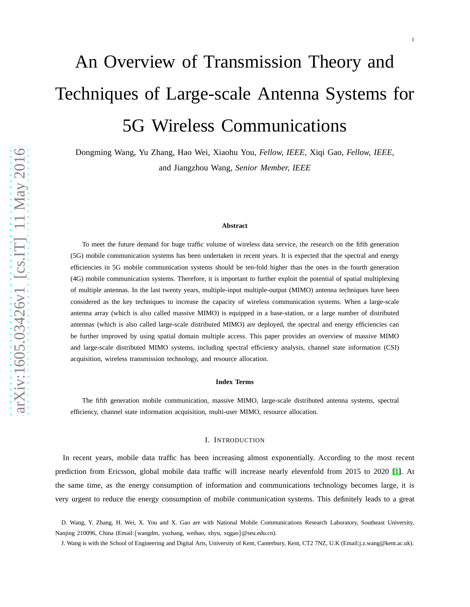# An Overview of Transmission Theory and Techniques of Large-scale Antenna Systems for 5G Wireless Communications

1

Dongming Wang, Yu Zhang, Hao Wei, Xiaohu You, *Fellow, IEEE,* Xiqi Gao, *Fellow, IEEE,* and Jiangzhou Wang, *Senior Member, IEEE*

#### **Abstract**

To meet the future demand for huge traffic volume of wireless data service, the research on the fifth generation (5G) mobile communication systems has been undertaken in recent years. It is expected that the spectral and energy efficiencies in 5G mobile communication systems should be ten-fold higher than the ones in the fourth generation (4G) mobile communication systems. Therefore, it is important to further exploit the potential of spatial multiplexing of multiple antennas. In the last twenty years, multiple-input multiple-output (MIMO) antenna techniques have been considered as the key techniques to increase the capacity of wireless communication systems. When a large-scale antenna array (which is also called massive MIMO) is equipped in a base-station, or a large number of distributed antennas (which is also called large-scale distributed MIMO) are deployed, the spectral and energy efficiencies can be further improved by using spatial domain multiple access. This paper provides an overview of massive MIMO and large-scale distributed MIMO systems, including spectral efficiency analysis, channel state information (CSI) acquisition, wireless transmission technology, and resource allocation.

#### **Index Terms**

The fifth generation mobile communication, massive MIMO, large-scale distributed antenna systems, spectral efficiency, channel state information acquisition, multi-user MIMO, resource allocation.

#### I. INTRODUCTION

In recent years, mobile data traffic has been increasing almost exponentially. According to the most recent prediction from Ericsson, global mobile data traffic will increase nearly elevenfold from 2015 to 2020 [\[1\]](#page-18-0). At the same time, as the energy consumption of information and communications technology becomes large, it is very urgent to reduce the energy consumption of mobile communication systems. This definitely leads to a great

D. Wang, Y. Zhang, H. Wei, X. You and X. Gao are with National Mobile Communications Research Laboratory, Southeast University, Nanjing 210096, China (Email:{wangdm, yuzhang, weihao, xhyu, xqgao}@seu.edu.cn).

J. Wang is with the School of Engineering and Digital Arts, University of Kent, Canterbury, Kent, CT2 7NZ, U.K (Email:j.z.wang@kent.ac.uk).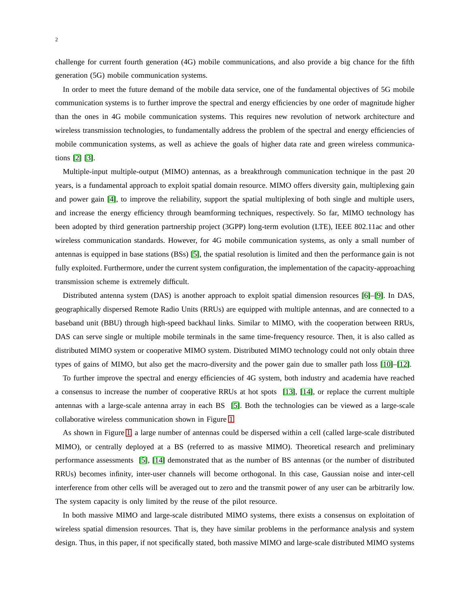challenge for current fourth generation (4G) mobile communications, and also provide a big chance for the fifth generation (5G) mobile communication systems.

In order to meet the future demand of the mobile data service, one of the fundamental objectives of 5G mobile communication systems is to further improve the spectral and energy efficiencies by one order of magnitude higher than the ones in 4G mobile communication systems. This requires new revolution of network architecture and wireless transmission technologies, to fundamentally address the problem of the spectral and energy efficiencies of mobile communication systems, as well as achieve the goals of higher data rate and green wireless communications [\[2\]](#page-18-1) [\[3\]](#page-18-2).

Multiple-input multiple-output (MIMO) antennas, as a breakthrough communication technique in the past 20 years, is a fundamental approach to exploit spatial domain resource. MIMO offers diversity gain, multiplexing gain and power gain [\[4\]](#page-18-3), to improve the reliability, support the spatial multiplexing of both single and multiple users, and increase the energy efficiency through beamforming techniques, respectively. So far, MIMO technology has been adopted by third generation partnership project (3GPP) long-term evolution (LTE), IEEE 802.11ac and other wireless communication standards. However, for 4G mobile communication systems, as only a small number of antennas is equipped in base stations (BSs) [\[5\]](#page-18-4), the spatial resolution is limited and then the performance gain is not fully exploited. Furthermore, under the current system configuration, the implementation of the capacity-approaching transmission scheme is extremely difficult.

Distributed antenna system (DAS) is another approach to exploit spatial dimension resources [\[6\]](#page-18-5)–[\[9\]](#page-18-6). In DAS, geographically dispersed Remote Radio Units (RRUs) are equipped with multiple antennas, and are connected to a baseband unit (BBU) through high-speed backhaul links. Similar to MIMO, with the cooperation between RRUs, DAS can serve single or multiple mobile terminals in the same time-frequency resource. Then, it is also called as distributed MIMO system or cooperative MIMO system. Distributed MIMO technology could not only obtain three types of gains of MIMO, but also get the macro-diversity and the power gain due to smaller path loss [\[10\]](#page-18-7)–[\[12\]](#page-18-8).

To further improve the spectral and energy efficiencies of 4G system, both industry and academia have reached a consensus to increase the number of cooperative RRUs at hot spots [\[13\]](#page-19-0), [\[14\]](#page-19-1), or replace the current multiple antennas with a large-scale antenna array in each BS [\[5\]](#page-18-4). Both the technologies can be viewed as a large-scale collaborative wireless communication shown in Figure [1.](#page-2-0)

As shown in Figure [1,](#page-2-0) a large number of antennas could be dispersed within a cell (called large-scale distributed MIMO), or centrally deployed at a BS (referred to as massive MIMO). Theoretical research and preliminary performance assessments [\[5\]](#page-18-4), [\[14\]](#page-19-1) demonstrated that as the number of BS antennas (or the number of distributed RRUs) becomes infinity, inter-user channels will become orthogonal. In this case, Gaussian noise and inter-cell interference from other cells will be averaged out to zero and the transmit power of any user can be arbitrarily low. The system capacity is only limited by the reuse of the pilot resource.

In both massive MIMO and large-scale distributed MIMO systems, there exists a consensus on exploitation of wireless spatial dimension resources. That is, they have similar problems in the performance analysis and system design. Thus, in this paper, if not specifically stated, both massive MIMO and large-scale distributed MIMO systems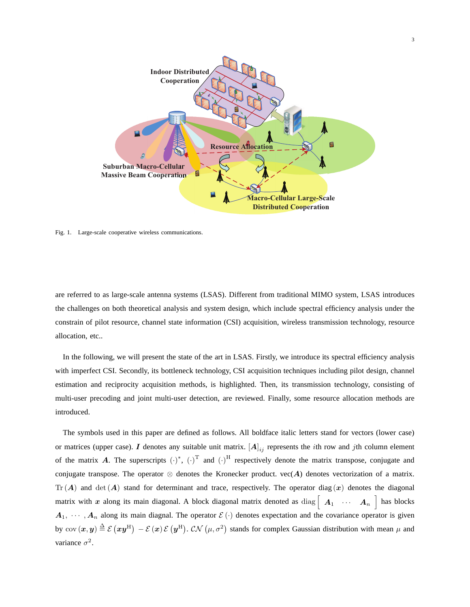

<span id="page-2-0"></span>Fig. 1. Large-scale cooperative wireless communications.

are referred to as large-scale antenna systems (LSAS). Different from traditional MIMO system, LSAS introduces the challenges on both theoretical analysis and system design, which include spectral efficiency analysis under the constrain of pilot resource, channel state information (CSI) acquisition, wireless transmission technology, resource allocation, etc..

In the following, we will present the state of the art in LSAS. Firstly, we introduce its spectral efficiency analysis with imperfect CSI. Secondly, its bottleneck technology, CSI acquisition techniques including pilot design, channel estimation and reciprocity acquisition methods, is highlighted. Then, its transmission technology, consisting of multi-user precoding and joint multi-user detection, are reviewed. Finally, some resource allocation methods are introduced.

The symbols used in this paper are defined as follows. All boldface italic letters stand for vectors (lower case) or matrices (upper case). I denotes any suitable unit matrix.  $[A]_{ij}$  represents the *i*th row and *j*th column element of the matrix A. The superscripts  $(\cdot)^*$ ,  $(\cdot)^T$  and  $(\cdot)^H$  respectively denote the matrix transpose, conjugate and conjugate transpose. The operator  $\otimes$  denotes the Kronecker product. vec(A) denotes vectorization of a matrix.  $\text{Tr}(\boldsymbol{A})$  and  $\text{det}(\boldsymbol{A})$  stand for determinant and trace, respectively. The operator diag (x) denotes the diagonal matrix with x along its main diagonal. A block diagonal matrix denoted as  $\text{diag}\left[\begin{array}{ccc} A_1 & \cdots & A_n \end{array}\right]$  has blocks  $A_1, \cdots, A_n$  along its main diagnal. The operator  $\mathcal{E}(\cdot)$  denotes expectation and the covariance operator is given by  $\text{cov}\left(\bm{x},\bm{y}\right) \stackrel{\Delta}{=} \mathcal{E}\left(\bm{x}\bm{y}^{\text{H}}\right) - \mathcal{E}\left(\bm{x}\right)\mathcal{E}\left(\bm{y}^{\text{H}}\right)$ .  $\mathcal{CN}\left(\mu,\sigma^2\right)$  stands for complex Gaussian distribution with mean  $\mu$  and variance  $\sigma^2$ .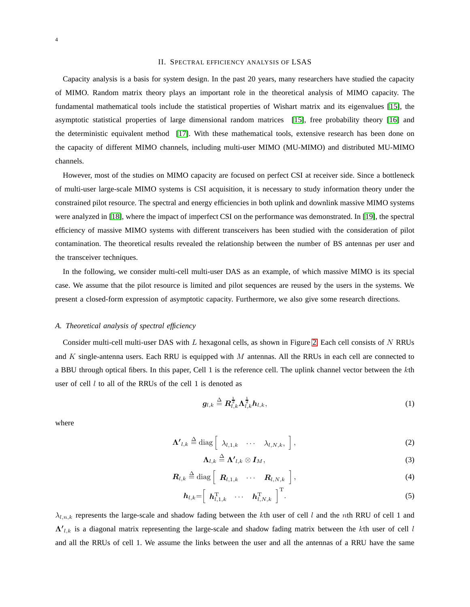## II. SPECTRAL EFFICIENCY ANALYSIS OF LSAS

Capacity analysis is a basis for system design. In the past 20 years, many researchers have studied the capacity of MIMO. Random matrix theory plays an important role in the theoretical analysis of MIMO capacity. The fundamental mathematical tools include the statistical properties of Wishart matrix and its eigenvalues [\[15\]](#page-19-2), the asymptotic statistical properties of large dimensional random matrices [\[15\]](#page-19-2), free probability theory [\[16\]](#page-19-3) and the deterministic equivalent method [\[17\]](#page-19-4). With these mathematical tools, extensive research has been done on the capacity of different MIMO channels, including multi-user MIMO (MU-MIMO) and distributed MU-MIMO channels.

However, most of the studies on MIMO capacity are focused on perfect CSI at receiver side. Since a bottleneck of multi-user large-scale MIMO systems is CSI acquisition, it is necessary to study information theory under the constrained pilot resource. The spectral and energy efficiencies in both uplink and downlink massive MIMO systems were analyzed in [\[18\]](#page-19-5), where the impact of imperfect CSI on the performance was demonstrated. In [\[19\]](#page-19-6), the spectral efficiency of massive MIMO systems with different transceivers has been studied with the consideration of pilot contamination. The theoretical results revealed the relationship between the number of BS antennas per user and the transceiver techniques.

In the following, we consider multi-cell multi-user DAS as an example, of which massive MIMO is its special case. We assume that the pilot resource is limited and pilot sequences are reused by the users in the systems. We present a closed-form expression of asymptotic capacity. Furthermore, we also give some research directions.

## *A. Theoretical analysis of spectral efficiency*

Consider multi-cell multi-user DAS with L hexagonal cells, as shown in Figure [2.](#page-4-0) Each cell consists of N RRUs and  $K$  single-antenna users. Each RRU is equipped with  $M$  antennas. All the RRUs in each cell are connected to a BBU through optical fibers. In this paper, Cell 1 is the reference cell. The uplink channel vector between the kth user of cell  $l$  to all of the RRUs of the cell 1 is denoted as

$$
\mathbf{g}_{l,k} \stackrel{\Delta}{=} \mathbf{R}_{l,k}^{\frac{1}{2}} \mathbf{\Lambda}_{l,k}^{\frac{1}{2}} \mathbf{h}_{l,k},\tag{1}
$$

where

$$
\Lambda'_{l,k} \stackrel{\Delta}{=} \text{diag}\left[\lambda_{l,1,k} \quad \cdots \quad \lambda_{l,N,k},\right],\tag{2}
$$

$$
\Lambda_{l,k} \stackrel{\Delta}{=} \Lambda'_{l,k} \otimes I_M, \tag{3}
$$

$$
\boldsymbol{R}_{l,k} \stackrel{\Delta}{=} \text{diag} \left[ \begin{array}{ccc} \boldsymbol{R}_{l,1,k} & \cdots & \boldsymbol{R}_{l,N,k} \end{array} \right], \tag{4}
$$

$$
\boldsymbol{h}_{l,k} = \left[\begin{array}{ccc} \boldsymbol{h}_{l,1,k}^{\mathrm{T}} & \cdots & \boldsymbol{h}_{l,N,k}^{\mathrm{T}} \end{array}\right]^{\mathrm{T}}.\tag{5}
$$

 $\lambda_{l,n,k}$  represents the large-scale and shadow fading between the kth user of cell l and the nth RRU of cell 1 and  $\Lambda'_{l,k}$  is a diagonal matrix representing the large-scale and shadow fading matrix between the kth user of cell l and all the RRUs of cell 1. We assume the links between the user and all the antennas of a RRU have the same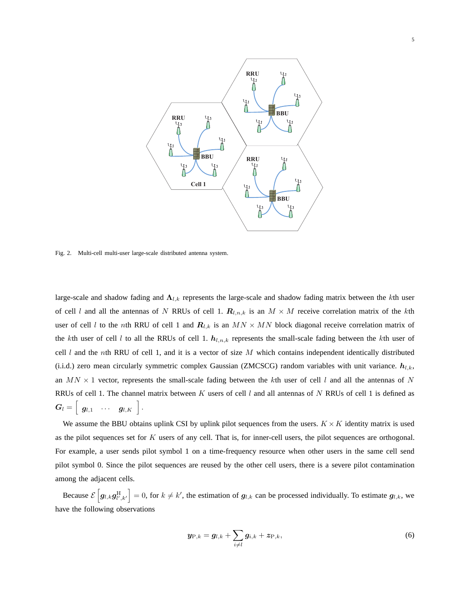

<span id="page-4-0"></span>Fig. 2. Multi-cell multi-user large-scale distributed antenna system.

large-scale and shadow fading and  $\Lambda_{l,k}$  represents the large-scale and shadow fading matrix between the kth user of cell l and all the antennas of N RRUs of cell 1.  $R_{l,n,k}$  is an  $M \times M$  receive correlation matrix of the kth user of cell l to the nth RRU of cell 1 and  $R_{l,k}$  is an  $MN \times MN$  block diagonal receive correlation matrix of the kth user of cell l to all the RRUs of cell 1.  $h_{l,n,k}$  represents the small-scale fading between the kth user of cell  $l$  and the nth RRU of cell 1, and it is a vector of size  $M$  which contains independent identically distributed (i.i.d.) zero mean circularly symmetric complex Gaussian (ZMCSCG) random variables with unit variance.  $h_{l,k}$ , an  $MN \times 1$  vector, represents the small-scale fading between the kth user of cell l and all the antennas of N RRUs of cell 1. The channel matrix between K users of cell l and all antennas of N RRUs of cell 1 is defined as  $\bm{G}_l=\left[\begin{array}{ccc} \bm{g}_{l,1} & \cdots & \bm{g}_{l,K} \end{array}\right].$ 

We assume the BBU obtains uplink CSI by uplink pilot sequences from the users.  $K \times K$  identity matrix is used as the pilot sequences set for  $K$  users of any cell. That is, for inner-cell users, the pilot sequences are orthogonal. For example, a user sends pilot symbol 1 on a time-frequency resource when other users in the same cell send pilot symbol 0. Since the pilot sequences are reused by the other cell users, there is a severe pilot contamination among the adjacent cells.

Because  $\mathcal{E}\left[\mathbf{g}_{l,k}\mathbf{g}_{l',k'}^{\mathrm{H}}\right]=0$ , for  $k\neq k'$ , the estimation of  $\mathbf{g}_{l,k}$  can be processed individually. To estimate  $\mathbf{g}_{l,k}$ , we have the following observations

$$
\boldsymbol{y}_{\mathrm{P},k} = \boldsymbol{g}_{l,k} + \sum_{i \neq l} \boldsymbol{g}_{i,k} + \boldsymbol{z}_{\mathrm{P},k},\tag{6}
$$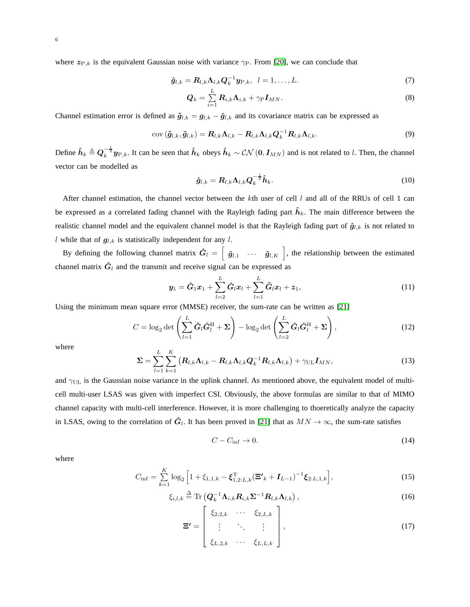where  $z_{P,k}$  is the equivalent Gaussian noise with variance  $\gamma_P$ . From [\[20\]](#page-19-7), we can conclude that

$$
\hat{\boldsymbol{g}}_{l,k} = \boldsymbol{R}_{l,k} \boldsymbol{\Lambda}_{l,k} \boldsymbol{Q}_k^{-1} \boldsymbol{y}_{\mathrm{P},k}, \quad l = 1, \ldots, L. \tag{7}
$$

$$
\mathbf{Q}_k = \sum_{i=1}^L \mathbf{R}_{i,k} \mathbf{\Lambda}_{i,k} + \gamma_{\rm P} \mathbf{I}_{MN}.
$$
 (8)

Channel estimation error is defined as  $\tilde{g}_{l,k} = g_{l,k} - \hat{g}_{l,k}$  and its covariance matrix can be expressed as

$$
cov\left(\tilde{\boldsymbol{g}}_{l,k},\tilde{\boldsymbol{g}}_{l,k}\right)=\boldsymbol{R}_{l,k}\boldsymbol{\Lambda}_{l,k}-\boldsymbol{R}_{l,k}\boldsymbol{\Lambda}_{l,k}\boldsymbol{Q}_k^{-1}\boldsymbol{R}_{l,k}\boldsymbol{\Lambda}_{l,k}.
$$
\n(9)

Define  $\hat{h}_k \triangleq Q_k^{-\frac{1}{2}} y_{P,k}$ . It can be seen that  $\hat{h}_k$  obeys  $\hat{h}_k \sim \mathcal{CN}(0, I_{MN})$  and is not related to l. Then, the channel vector can be modelled as

$$
\hat{\boldsymbol{g}}_{l,k} = \boldsymbol{R}_{l,k} \boldsymbol{\Lambda}_{l,k} \boldsymbol{Q}_k^{-\frac{1}{2}} \hat{\boldsymbol{h}}_k. \tag{10}
$$

After channel estimation, the channel vector between the kth user of cell l and all of the RRUs of cell 1 can be expressed as a correlated fading channel with the Rayleigh fading part  $\hat{h}_k$ . The main difference between the realistic channel model and the equivalent channel model is that the Rayleigh fading part of  $\hat{g}_{l,k}$  is not related to l while that of  $g_{l,k}$  is statistically independent for any l.

By defining the following channel matrix  $\hat G_l = \left[\begin{array}{ccc} \hat g_{l,1} & \cdots & \hat g_{l,K} \end{array}\right]$ , the relationship between the estimated channel matrix  $\hat{G}_l$  and the transmit and receive signal can be expressed as

$$
\boldsymbol{y}_1 = \hat{\boldsymbol{G}}_1 \boldsymbol{x}_1 + \sum_{l=2}^{L} \hat{\boldsymbol{G}}_l \boldsymbol{x}_l + \sum_{l=1}^{L} \tilde{\boldsymbol{G}}_l \boldsymbol{x}_l + \boldsymbol{z}_1, \qquad (11)
$$

Using the minimum mean square error (MMSE) receiver, the sum-rate can be written as [\[21\]](#page-19-8)

$$
C = \log_2 \det \left( \sum_{l=1}^{L} \hat{G}_l \hat{G}_l^{\mathrm{H}} + \Sigma \right) - \log_2 \det \left( \sum_{l=2}^{L} \hat{G}_l \hat{G}_l^{\mathrm{H}} + \Sigma \right), \tag{12}
$$

where

$$
\Sigma = \sum_{l=1}^{L} \sum_{k=1}^{K} \left( \boldsymbol{R}_{l,k} \boldsymbol{\Lambda}_{l,k} - \boldsymbol{R}_{l,k} \boldsymbol{\Lambda}_{l,k} \boldsymbol{Q}_{k}^{-1} \boldsymbol{R}_{l,k} \boldsymbol{\Lambda}_{l,k} \right) + \gamma_{\text{UL}} \boldsymbol{I}_{MN},
$$
\n(13)

and  $\gamma_{\text{UL}}$  is the Gaussian noise variance in the uplink channel. As mentioned above, the equivalent model of multicell multi-user LSAS was given with imperfect CSI. Obviously, the above formulas are similar to that of MIMO channel capacity with multi-cell interference. However, it is more challenging to thoeretically analyze the capacity in LSAS, owing to the correlation of  $\hat{G}_l$ . It has been proved in [\[21\]](#page-19-8) that as  $MN \to \infty$ , the sum-rate satisfies

$$
C - C_{\text{inf}} \to 0. \tag{14}
$$

where

<span id="page-5-0"></span>
$$
C_{\inf} = \sum_{k=1}^{K} \log_2 \left[ 1 + \xi_{1,1,k} - \xi_{1,2:L,k}^{\mathrm{T}} (\boldsymbol{\Xi'}_k + \boldsymbol{I}_{L-1})^{-1} \xi_{2:L,1,k} \right],
$$
(15)

$$
\xi_{i,l,k} \stackrel{\Delta}{=} \text{Tr}\left(\mathbf{Q}_k^{-1}\mathbf{\Lambda}_{i,k}\mathbf{R}_{i,k}\mathbf{\Sigma}^{-1}\mathbf{R}_{l,k}\mathbf{\Lambda}_{l,k}\right),\tag{16}
$$

$$
\mathbf{\Xi'} = \begin{bmatrix} \xi_{2,2,k} & \cdots & \xi_{2,L,k} \\ \vdots & \ddots & \vdots \\ \xi_{L,2,k} & \cdots & \xi_{L,L,k} \end{bmatrix},\tag{17}
$$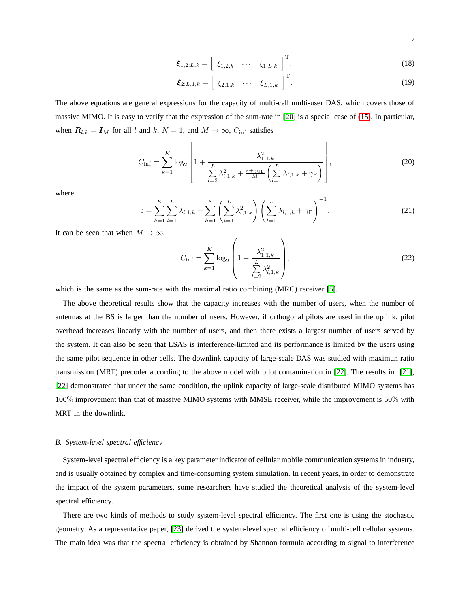$$
\xi_{1,2:L,k} = \left[ \begin{array}{ccc} \xi_{1,2,k} & \cdots & \xi_{1,L,k} \end{array} \right]^{\mathrm{T}},
$$
 (18)

$$
\xi_{2:L,1,k} = \left[ \begin{array}{ccc} \xi_{2,1,k} & \cdots & \xi_{L,1,k} \end{array} \right]^{\mathrm{T}}.
$$
 (19)

The above equations are general expressions for the capacity of multi-cell multi-user DAS, which covers those of massive MIMO. It is easy to verify that the expression of the sum-rate in [\[20\]](#page-19-7) is a special case of [\(15\)](#page-5-0). In particular, when  $\mathbf{R}_{l,k} = \mathbf{I}_M$  for all l and k,  $N = 1$ , and  $M \to \infty$ ,  $C_{\text{inf}}$  satisfies

$$
C_{\inf} = \sum_{k=1}^{K} \log_2 \left[ 1 + \frac{\lambda_{1,1,k}^2}{\sum_{l=2}^{L} \lambda_{l,1,k}^2 + \frac{\varepsilon + \text{2ML}}{M} \left( \sum_{l=1}^{L} \lambda_{l,1,k} + \gamma_{\text{P}} \right)} \right],
$$
(20)

where

$$
\varepsilon = \sum_{k=1}^{K} \sum_{l=1}^{L} \lambda_{l,1,k} - \sum_{k=1}^{K} \left( \sum_{l=1}^{L} \lambda_{l,1,k}^{2} \right) \left( \sum_{l=1}^{L} \lambda_{l,1,k} + \gamma_{\rm P} \right)^{-1}.
$$
 (21)

It can be seen that when  $M \to \infty$ ,

$$
C_{\inf} = \sum_{k=1}^{K} \log_2 \left( 1 + \frac{\lambda_{1,1,k}^2}{\sum_{l=2}^{L} \lambda_{l,1,k}^2} \right),
$$
 (22)

which is the same as the sum-rate with the maximal ratio combining (MRC) receiver [\[5\]](#page-18-4).

The above theoretical results show that the capacity increases with the number of users, when the number of antennas at the BS is larger than the number of users. However, if orthogonal pilots are used in the uplink, pilot overhead increases linearly with the number of users, and then there exists a largest number of users served by the system. It can also be seen that LSAS is interference-limited and its performance is limited by the users using the same pilot sequence in other cells. The downlink capacity of large-scale DAS was studied with maximun ratio transmission (MRT) precoder according to the above model with pilot contamination in [\[22\]](#page-19-9). The results in [\[21\]](#page-19-8), [\[22\]](#page-19-9) demonstrated that under the same condition, the uplink capacity of large-scale distributed MIMO systems has 100% improvement than that of massive MIMO systems with MMSE receiver, while the improvement is 50% with MRT in the downlink.

# *B. System-level spectral efficiency*

System-level spectral efficiency is a key parameter indicator of cellular mobile communication systems in industry, and is usually obtained by complex and time-consuming system simulation. In recent years, in order to demonstrate the impact of the system parameters, some researchers have studied the theoretical analysis of the system-level spectral efficiency.

There are two kinds of methods to study system-level spectral efficiency. The first one is using the stochastic geometry. As a representative paper, [\[23\]](#page-19-10) derived the system-level spectral efficiency of multi-cell cellular systems. The main idea was that the spectral efficiency is obtained by Shannon formula according to signal to interference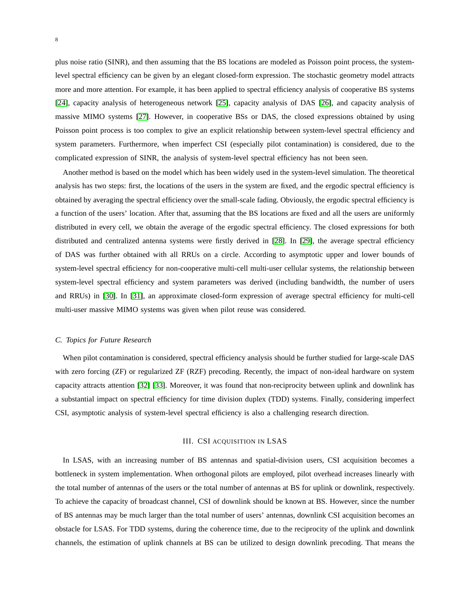plus noise ratio (SINR), and then assuming that the BS locations are modeled as Poisson point process, the systemlevel spectral efficiency can be given by an elegant closed-form expression. The stochastic geometry model attracts more and more attention. For example, it has been applied to spectral efficiency analysis of cooperative BS systems [\[24\]](#page-19-11), capacity analysis of heterogeneous network [\[25\]](#page-19-12), capacity analysis of DAS [\[26\]](#page-19-13), and capacity analysis of massive MIMO systems [\[27\]](#page-19-14). However, in cooperative BSs or DAS, the closed expressions obtained by using Poisson point process is too complex to give an explicit relationship between system-level spectral efficiency and system parameters. Furthermore, when imperfect CSI (especially pilot contamination) is considered, due to the complicated expression of SINR, the analysis of system-level spectral efficiency has not been seen.

Another method is based on the model which has been widely used in the system-level simulation. The theoretical analysis has two steps: first, the locations of the users in the system are fixed, and the ergodic spectral efficiency is obtained by averaging the spectral efficiency over the small-scale fading. Obviously, the ergodic spectral efficiency is a function of the users' location. After that, assuming that the BS locations are fixed and all the users are uniformly distributed in every cell, we obtain the average of the ergodic spectral efficiency. The closed expressions for both distributed and centralized antenna systems were firstly derived in [\[28\]](#page-19-15). In [\[29\]](#page-19-16), the average spectral efficiency of DAS was further obtained with all RRUs on a circle. According to asymptotic upper and lower bounds of system-level spectral efficiency for non-cooperative multi-cell multi-user cellular systems, the relationship between system-level spectral efficiency and system parameters was derived (including bandwidth, the number of users and RRUs) in [\[30\]](#page-19-17). In [\[31\]](#page-19-18), an approximate closed-form expression of average spectral efficiency for multi-cell multi-user massive MIMO systems was given when pilot reuse was considered.

# *C. Topics for Future Research*

When pilot contamination is considered, spectral efficiency analysis should be further studied for large-scale DAS with zero forcing (ZF) or regularized ZF (RZF) precoding. Recently, the impact of non-ideal hardware on system capacity attracts attention [\[32\]](#page-19-19) [\[33\]](#page-19-20). Moreover, it was found that non-reciprocity between uplink and downlink has a substantial impact on spectral efficiency for time division duplex (TDD) systems. Finally, considering imperfect CSI, asymptotic analysis of system-level spectral efficiency is also a challenging research direction.

## III. CSI ACQUISITION IN LSAS

In LSAS, with an increasing number of BS antennas and spatial-division users, CSI acquisition becomes a bottleneck in system implementation. When orthogonal pilots are employed, pilot overhead increases linearly with the total number of antennas of the users or the total number of antennas at BS for uplink or downlink, respectively. To achieve the capacity of broadcast channel, CSI of downlink should be known at BS. However, since the number of BS antennas may be much larger than the total number of users' antennas, downlink CSI acquisition becomes an obstacle for LSAS. For TDD systems, during the coherence time, due to the reciprocity of the uplink and downlink channels, the estimation of uplink channels at BS can be utilized to design downlink precoding. That means the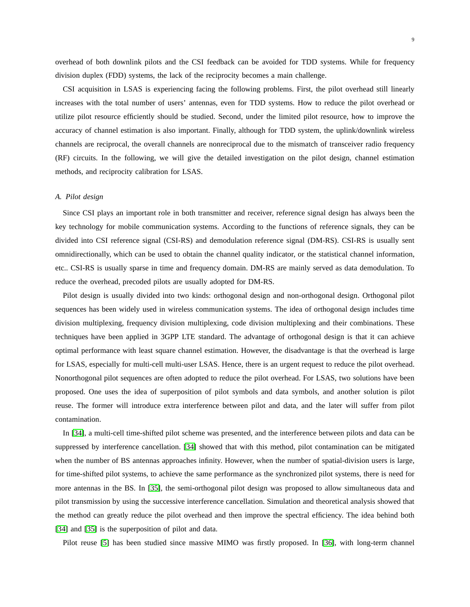overhead of both downlink pilots and the CSI feedback can be avoided for TDD systems. While for frequency division duplex (FDD) systems, the lack of the reciprocity becomes a main challenge.

CSI acquisition in LSAS is experiencing facing the following problems. First, the pilot overhead still linearly increases with the total number of users' antennas, even for TDD systems. How to reduce the pilot overhead or utilize pilot resource efficiently should be studied. Second, under the limited pilot resource, how to improve the accuracy of channel estimation is also important. Finally, although for TDD system, the uplink/downlink wireless channels are reciprocal, the overall channels are nonreciprocal due to the mismatch of transceiver radio frequency (RF) circuits. In the following, we will give the detailed investigation on the pilot design, channel estimation methods, and reciprocity calibration for LSAS.

## *A. Pilot design*

Since CSI plays an important role in both transmitter and receiver, reference signal design has always been the key technology for mobile communication systems. According to the functions of reference signals, they can be divided into CSI reference signal (CSI-RS) and demodulation reference signal (DM-RS). CSI-RS is usually sent omnidirectionally, which can be used to obtain the channel quality indicator, or the statistical channel information, etc.. CSI-RS is usually sparse in time and frequency domain. DM-RS are mainly served as data demodulation. To reduce the overhead, precoded pilots are usually adopted for DM-RS.

Pilot design is usually divided into two kinds: orthogonal design and non-orthogonal design. Orthogonal pilot sequences has been widely used in wireless communication systems. The idea of orthogonal design includes time division multiplexing, frequency division multiplexing, code division multiplexing and their combinations. These techniques have been applied in 3GPP LTE standard. The advantage of orthogonal design is that it can achieve optimal performance with least square channel estimation. However, the disadvantage is that the overhead is large for LSAS, especially for multi-cell multi-user LSAS. Hence, there is an urgent request to reduce the pilot overhead. Nonorthogonal pilot sequences are often adopted to reduce the pilot overhead. For LSAS, two solutions have been proposed. One uses the idea of superposition of pilot symbols and data symbols, and another solution is pilot reuse. The former will introduce extra interference between pilot and data, and the later will suffer from pilot contamination.

In [\[34\]](#page-19-21), a multi-cell time-shifted pilot scheme was presented, and the interference between pilots and data can be suppressed by interference cancellation. [\[34\]](#page-19-21) showed that with this method, pilot contamination can be mitigated when the number of BS antennas approaches infinity. However, when the number of spatial-division users is large, for time-shifted pilot systems, to achieve the same performance as the synchronized pilot systems, there is need for more antennas in the BS. In [\[35\]](#page-19-22), the semi-orthogonal pilot design was proposed to allow simultaneous data and pilot transmission by using the successive interference cancellation. Simulation and theoretical analysis showed that the method can greatly reduce the pilot overhead and then improve the spectral efficiency. The idea behind both [\[34\]](#page-19-21) and [\[35\]](#page-19-22) is the superposition of pilot and data.

Pilot reuse [\[5\]](#page-18-4) has been studied since massive MIMO was firstly proposed. In [\[36\]](#page-20-0), with long-term channel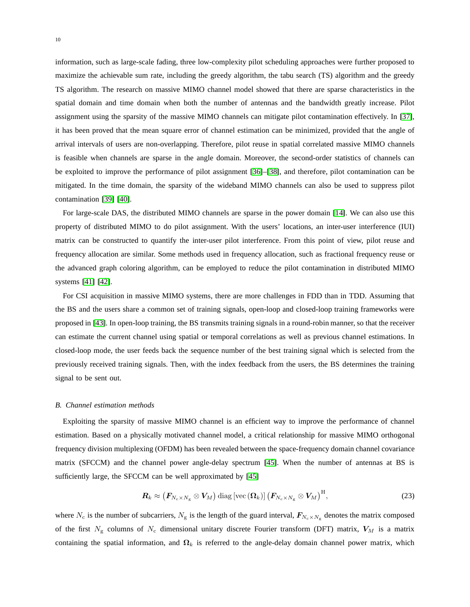information, such as large-scale fading, three low-complexity pilot scheduling approaches were further proposed to maximize the achievable sum rate, including the greedy algorithm, the tabu search (TS) algorithm and the greedy TS algorithm. The research on massive MIMO channel model showed that there are sparse characteristics in the spatial domain and time domain when both the number of antennas and the bandwidth greatly increase. Pilot assignment using the sparsity of the massive MIMO channels can mitigate pilot contamination effectively. In [\[37\]](#page-20-1), it has been proved that the mean square error of channel estimation can be minimized, provided that the angle of arrival intervals of users are non-overlapping. Therefore, pilot reuse in spatial correlated massive MIMO channels is feasible when channels are sparse in the angle domain. Moreover, the second-order statistics of channels can be exploited to improve the performance of pilot assignment [\[36\]](#page-20-0)–[\[38\]](#page-20-2), and therefore, pilot contamination can be mitigated. In the time domain, the sparsity of the wideband MIMO channels can also be used to suppress pilot contamination [\[39\]](#page-20-3) [\[40\]](#page-20-4).

For large-scale DAS, the distributed MIMO channels are sparse in the power domain [\[14\]](#page-19-1). We can also use this property of distributed MIMO to do pilot assignment. With the users' locations, an inter-user interference (IUI) matrix can be constructed to quantify the inter-user pilot interference. From this point of view, pilot reuse and frequency allocation are similar. Some methods used in frequency allocation, such as fractional frequency reuse or the advanced graph coloring algorithm, can be employed to reduce the pilot contamination in distributed MIMO systems [\[41\]](#page-20-5) [\[42\]](#page-20-6).

For CSI acquisition in massive MIMO systems, there are more challenges in FDD than in TDD. Assuming that the BS and the users share a common set of training signals, open-loop and closed-loop training frameworks were proposed in [\[43\]](#page-20-7). In open-loop training, the BS transmits training signals in a round-robin manner, so that the receiver can estimate the current channel using spatial or temporal correlations as well as previous channel estimations. In closed-loop mode, the user feeds back the sequence number of the best training signal which is selected from the previously received training signals. Then, with the index feedback from the users, the BS determines the training signal to be sent out.

## *B. Channel estimation methods*

Exploiting the sparsity of massive MIMO channel is an efficient way to improve the performance of channel estimation. Based on a physically motivated channel model, a critical relationship for massive MIMO orthogonal frequency division multiplexing (OFDM) has been revealed between the space-frequency domain channel covariance matrix (SFCCM) and the channel power angle-delay spectrum [\[45\]](#page-20-8). When the number of antennas at BS is sufficiently large, the SFCCM can be well approximated by [\[45\]](#page-20-8)

$$
\boldsymbol{R}_{k} \approx \left(\boldsymbol{F}_{N_{c} \times N_{g}} \otimes \boldsymbol{V}_{M}\right) \text{diag}\left[\text{vec}\left(\boldsymbol{\Omega}_{k}\right)\right] \left(\boldsymbol{F}_{N_{c} \times N_{g}} \otimes \boldsymbol{V}_{M}\right)^{\text{H}},\tag{23}
$$

where  $N_c$  is the number of subcarriers,  $N_g$  is the length of the guard interval,  $F_{N_c \times N_g}$  denotes the matrix composed of the first  $N_{\rm g}$  columns of  $N_{\rm c}$  dimensional unitary discrete Fourier transform (DFT) matrix,  $V_M$  is a matrix containing the spatial information, and  $\Omega_k$  is referred to the angle-delay domain channel power matrix, which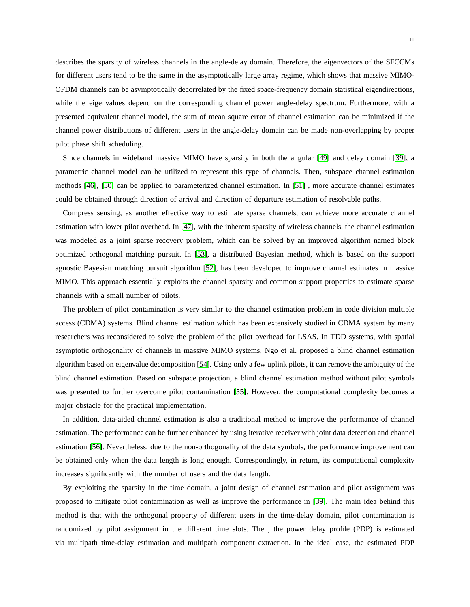describes the sparsity of wireless channels in the angle-delay domain. Therefore, the eigenvectors of the SFCCMs for different users tend to be the same in the asymptotically large array regime, which shows that massive MIMO-OFDM channels can be asymptotically decorrelated by the fixed space-frequency domain statistical eigendirections, while the eigenvalues depend on the corresponding channel power angle-delay spectrum. Furthermore, with a presented equivalent channel model, the sum of mean square error of channel estimation can be minimized if the channel power distributions of different users in the angle-delay domain can be made non-overlapping by proper pilot phase shift scheduling.

Since channels in wideband massive MIMO have sparsity in both the angular [\[49\]](#page-20-9) and delay domain [\[39\]](#page-20-3), a parametric channel model can be utilized to represent this type of channels. Then, subspace channel estimation methods [\[46\]](#page-20-10), [\[50\]](#page-20-11) can be applied to parameterized channel estimation. In [\[51\]](#page-20-12) , more accurate channel estimates could be obtained through direction of arrival and direction of departure estimation of resolvable paths.

Compress sensing, as another effective way to estimate sparse channels, can achieve more accurate channel estimation with lower pilot overhead. In [\[47\]](#page-20-13), with the inherent sparsity of wireless channels, the channel estimation was modeled as a joint sparse recovery problem, which can be solved by an improved algorithm named block optimized orthogonal matching pursuit. In [\[53\]](#page-20-14), a distributed Bayesian method, which is based on the support agnostic Bayesian matching pursuit algorithm [\[52\]](#page-20-15), has been developed to improve channel estimates in massive MIMO. This approach essentially exploits the channel sparsity and common support properties to estimate sparse channels with a small number of pilots.

The problem of pilot contamination is very similar to the channel estimation problem in code division multiple access (CDMA) systems. Blind channel estimation which has been extensively studied in CDMA system by many researchers was reconsidered to solve the problem of the pilot overhead for LSAS. In TDD systems, with spatial asymptotic orthogonality of channels in massive MIMO systems, Ngo et al. proposed a blind channel estimation algorithm based on eigenvalue decomposition [\[54\]](#page-20-16). Using only a few uplink pilots, it can remove the ambiguity of the blind channel estimation. Based on subspace projection, a blind channel estimation method without pilot symbols was presented to further overcome pilot contamination [\[55\]](#page-20-17). However, the computational complexity becomes a major obstacle for the practical implementation.

In addition, data-aided channel estimation is also a traditional method to improve the performance of channel estimation. The performance can be further enhanced by using iterative receiver with joint data detection and channel estimation [\[56\]](#page-20-18). Nevertheless, due to the non-orthogonality of the data symbols, the performance improvement can be obtained only when the data length is long enough. Correspondingly, in return, its computational complexity increases significantly with the number of users and the data length.

By exploiting the sparsity in the time domain, a joint design of channel estimation and pilot assignment was proposed to mitigate pilot contamination as well as improve the performance in [\[39\]](#page-20-3). The main idea behind this method is that with the orthogonal property of different users in the time-delay domain, pilot contamination is randomized by pilot assignment in the different time slots. Then, the power delay profile (PDP) is estimated via multipath time-delay estimation and multipath component extraction. In the ideal case, the estimated PDP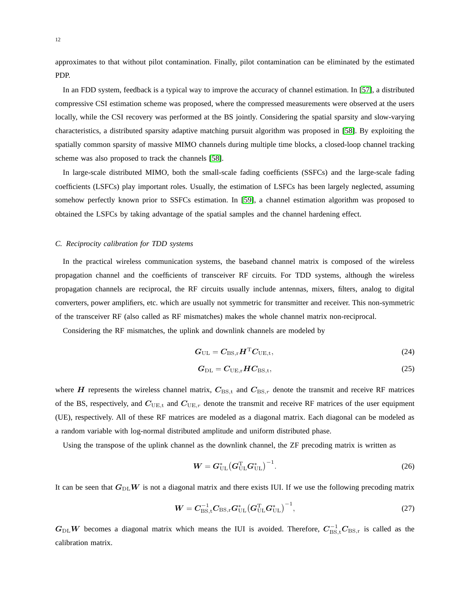approximates to that without pilot contamination. Finally, pilot contamination can be eliminated by the estimated PDP.

In an FDD system, feedback is a typical way to improve the accuracy of channel estimation. In [\[57\]](#page-20-19), a distributed compressive CSI estimation scheme was proposed, where the compressed measurements were observed at the users locally, while the CSI recovery was performed at the BS jointly. Considering the spatial sparsity and slow-varying characteristics, a distributed sparsity adaptive matching pursuit algorithm was proposed in [\[58\]](#page-20-20). By exploiting the spatially common sparsity of massive MIMO channels during multiple time blocks, a closed-loop channel tracking scheme was also proposed to track the channels [\[58\]](#page-20-20).

In large-scale distributed MIMO, both the small-scale fading coefficients (SSFCs) and the large-scale fading coefficients (LSFCs) play important roles. Usually, the estimation of LSFCs has been largely neglected, assuming somehow perfectly known prior to SSFCs estimation. In [\[59\]](#page-20-21), a channel estimation algorithm was proposed to obtained the LSFCs by taking advantage of the spatial samples and the channel hardening effect.

## *C. Reciprocity calibration for TDD systems*

In the practical wireless communication systems, the baseband channel matrix is composed of the wireless propagation channel and the coefficients of transceiver RF circuits. For TDD systems, although the wireless propagation channels are reciprocal, the RF circuits usually include antennas, mixers, filters, analog to digital converters, power amplifiers, etc. which are usually not symmetric for transmitter and receiver. This non-symmetric of the transceiver RF (also called as RF mismatches) makes the whole channel matrix non-reciprocal.

Considering the RF mismatches, the uplink and downlink channels are modeled by

$$
G_{\text{UL}} = C_{\text{BS},r} H^{\text{T}} C_{\text{UE},t},\tag{24}
$$

$$
G_{\rm DL} = C_{\rm UE, r} H C_{\rm BS, t},\tag{25}
$$

where H represents the wireless channel matrix,  $C_{\text{BS,t}}$  and  $C_{\text{BS,r}}$  denote the transmit and receive RF matrices of the BS, respectively, and  $C_{UE,t}$  and  $C_{UE,r}$  denote the transmit and receive RF matrices of the user equipment (UE), respectively. All of these RF matrices are modeled as a diagonal matrix. Each diagonal can be modeled as a random variable with log-normal distributed amplitude and uniform distributed phase.

Using the transpose of the uplink channel as the downlink channel, the ZF precoding matrix is written as

$$
\boldsymbol{W} = \boldsymbol{G}_{\text{UL}}^* \big(\boldsymbol{G}_{\text{UL}}^{\text{T}} \boldsymbol{G}_{\text{UL}}^* \big)^{-1}.
$$

It can be seen that  $G_{\text{DL}}W$  is not a diagonal matrix and there exists IUI. If we use the following precoding matrix

<span id="page-11-0"></span>
$$
\boldsymbol{W} = \boldsymbol{C}_{\mathrm{BS,t}}^{-1} \boldsymbol{C}_{\mathrm{BS,r}} \boldsymbol{G}_{\mathrm{UL}}^* \left(\boldsymbol{G}_{\mathrm{UL}}^{\mathrm{T}} \boldsymbol{G}_{\mathrm{UL}}^*\right)^{-1},\tag{27}
$$

 $G_{\text{DL}}W$  becomes a diagonal matrix which means the IUI is avoided. Therefore,  $C_{\text{BS,t}}^{-1}C_{\text{BS,r}}$  is called as the calibration matrix.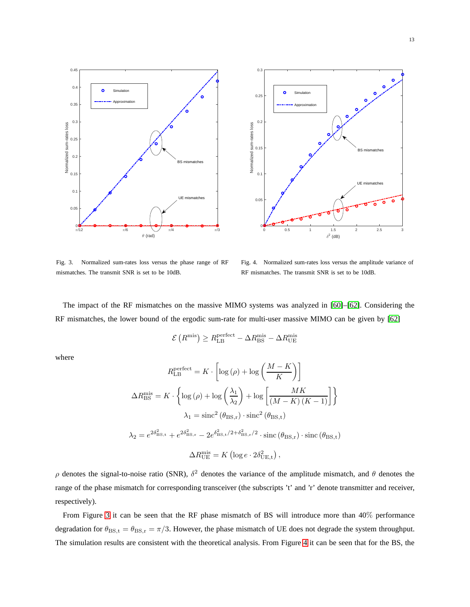

<span id="page-12-0"></span>Fig. 3. Normalized sum-rates loss versus the phase range of RF mismatches. The transmit SNR is set to be 10dB.

<span id="page-12-1"></span>Fig. 4. Normalized sum-rates loss versus the amplitude variance of RF mismatches. The transmit SNR is set to be 10dB.

The impact of the RF mismatches on the massive MIMO systems was analyzed in [\[60\]](#page-21-0)–[\[62\]](#page-21-1). Considering the RF mismatches, the lower bound of the ergodic sum-rate for multi-user massive MIMO can be given by [\[62\]](#page-21-1)

$$
\mathcal{E}\left(R^{\text{mis}}\right) \geq R_{\text{LB}}^{\text{perfect}} - \Delta R_{\text{BS}}^{\text{mis}} - \Delta R_{\text{UE}}^{\text{mis}}
$$

where

$$
R_{\text{LB}}^{\text{perfect}} = K \cdot \left[ \log (\rho) + \log \left( \frac{M - K}{K} \right) \right]
$$
  

$$
\Delta R_{\text{BS}}^{\text{mis}} = K \cdot \left\{ \log (\rho) + \log \left( \frac{\lambda_1}{\lambda_2} \right) + \log \left[ \frac{MK}{(M - K)(K - 1)} \right] \right\}
$$
  

$$
\lambda_1 = \text{sinc}^2 (\theta_{\text{BS,r}}) \cdot \text{sinc}^2 (\theta_{\text{BS,t}})
$$
  

$$
\lambda_2 = e^{2\delta_{\text{BS,t}}^2} + e^{2\delta_{\text{BS,r}}^2} - 2e^{\delta_{\text{BS,t}}^2/2 + \delta_{\text{BS,r}}^2/2} \cdot \text{sinc} (\theta_{\text{BS,r}}) \cdot \text{sinc} (\theta_{\text{BS,t}})
$$
  

$$
\Delta R_{\text{UE}}^{\text{mis}} = K \left( \log e \cdot 2\delta_{\text{UE,t}}^2 \right),
$$

 $ρ$  denotes the signal-to-noise ratio (SNR),  $δ²$  denotes the variance of the amplitude mismatch, and  $θ$  denotes the range of the phase mismatch for corresponding transceiver (the subscripts 't' and 'r' denote transmitter and receiver, respectively).

From Figure [3](#page-12-0) it can be seen that the RF phase mismatch of BS will introduce more than 40% performance degradation for  $\theta_{\rm BS,t} = \theta_{\rm BS,r} = \pi/3$ . However, the phase mismatch of UE does not degrade the system throughput. The simulation results are consistent with the theoretical analysis. From Figure [4](#page-12-1) it can be seen that for the BS, the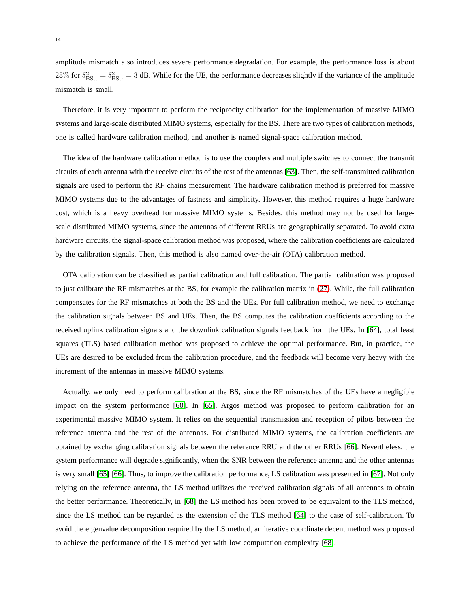amplitude mismatch also introduces severe performance degradation. For example, the performance loss is about 28% for  $\delta_{\rm BS,t}^2 = \delta_{\rm BS,r}^2 = 3$  dB. While for the UE, the performance decreases slightly if the variance of the amplitude mismatch is small.

Therefore, it is very important to perform the reciprocity calibration for the implementation of massive MIMO systems and large-scale distributed MIMO systems, especially for the BS. There are two types of calibration methods, one is called hardware calibration method, and another is named signal-space calibration method.

The idea of the hardware calibration method is to use the couplers and multiple switches to connect the transmit circuits of each antenna with the receive circuits of the rest of the antennas [\[63\]](#page-21-2). Then, the self-transmitted calibration signals are used to perform the RF chains measurement. The hardware calibration method is preferred for massive MIMO systems due to the advantages of fastness and simplicity. However, this method requires a huge hardware cost, which is a heavy overhead for massive MIMO systems. Besides, this method may not be used for largescale distributed MIMO systems, since the antennas of different RRUs are geographically separated. To avoid extra hardware circuits, the signal-space calibration method was proposed, where the calibration coefficients are calculated by the calibration signals. Then, this method is also named over-the-air (OTA) calibration method.

OTA calibration can be classified as partial calibration and full calibration. The partial calibration was proposed to just calibrate the RF mismatches at the BS, for example the calibration matrix in [\(27\)](#page-11-0). While, the full calibration compensates for the RF mismatches at both the BS and the UEs. For full calibration method, we need to exchange the calibration signals between BS and UEs. Then, the BS computes the calibration coefficients according to the received uplink calibration signals and the downlink calibration signals feedback from the UEs. In [\[64\]](#page-21-3), total least squares (TLS) based calibration method was proposed to achieve the optimal performance. But, in practice, the UEs are desired to be excluded from the calibration procedure, and the feedback will become very heavy with the increment of the antennas in massive MIMO systems.

Actually, we only need to perform calibration at the BS, since the RF mismatches of the UEs have a negligible impact on the system performance [\[60\]](#page-21-0). In [\[65\]](#page-21-4), Argos method was proposed to perform calibration for an experimental massive MIMO system. It relies on the sequential transmission and reception of pilots between the reference antenna and the rest of the antennas. For distributed MIMO systems, the calibration coefficients are obtained by exchanging calibration signals between the reference RRU and the other RRUs [\[66\]](#page-21-5). Nevertheless, the system performance will degrade significantly, when the SNR between the reference antenna and the other antennas is very small [\[65\]](#page-21-4) [\[66\]](#page-21-5). Thus, to improve the calibration performance, LS calibration was presented in [\[67\]](#page-21-6). Not only relying on the reference antenna, the LS method utilizes the received calibration signals of all antennas to obtain the better performance. Theoretically, in [\[68\]](#page-21-7) the LS method has been proved to be equivalent to the TLS method, since the LS method can be regarded as the extension of the TLS method [\[64\]](#page-21-3) to the case of self-calibration. To avoid the eigenvalue decomposition required by the LS method, an iterative coordinate decent method was proposed to achieve the performance of the LS method yet with low computation complexity [\[68\]](#page-21-7).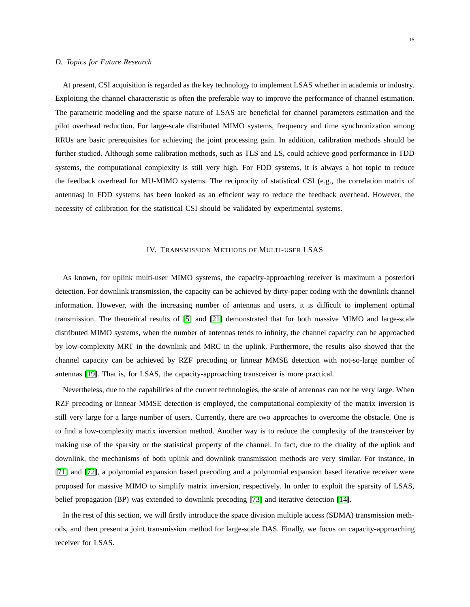## *D. Topics for Future Research*

At present, CSI acquisition is regarded as the key technology to implement LSAS whether in academia or industry. Exploiting the channel characteristic is often the preferable way to improve the performance of channel estimation. The parametric modeling and the sparse nature of LSAS are beneficial for channel parameters estimation and the pilot overhead reduction. For large-scale distributed MIMO systems, frequency and time synchronization among RRUs are basic prerequisites for achieving the joint processing gain. In addition, calibration methods should be further studied. Although some calibration methods, such as TLS and LS, could achieve good performance in TDD systems, the computational complexity is still very high. For FDD systems, it is always a hot topic to reduce the feedback overhead for MU-MIMO systems. The reciprocity of statistical CSI (e.g., the correlation matrix of antennas) in FDD systems has been looked as an efficient way to reduce the feedback overhead. However, the necessity of calibration for the statistical CSI should be validated by experimental systems.

# IV. TRANSMISSION METHODS OF MULTI-USER LSAS

As known, for uplink multi-user MIMO systems, the capacity-approaching receiver is maximum a posteriori detection. For downlink transmission, the capacity can be achieved by dirty-paper coding with the downlink channel information. However, with the increasing number of antennas and users, it is difficult to implement optimal transmission. The theoretical results of [\[5\]](#page-18-4) and [\[21\]](#page-19-8) demonstrated that for both massive MIMO and large-scale distributed MIMO systems, when the number of antennas tends to infinity, the channel capacity can be approached by low-complexity MRT in the downlink and MRC in the uplink. Furthermore, the results also showed that the channel capacity can be achieved by RZF precoding or linnear MMSE detection with not-so-large number of antennas [\[19\]](#page-19-6). That is, for LSAS, the capacity-approaching transceiver is more practical.

Nevertheless, due to the capabilities of the current technologies, the scale of antennas can not be very large. When RZF precoding or linnear MMSE detection is employed, the computational complexity of the matrix inversion is still very large for a large number of users. Currently, there are two approaches to overcome the obstacle. One is to find a low-complexity matrix inversion method. Another way is to reduce the complexity of the transceiver by making use of the sparsity or the statistical property of the channel. In fact, due to the duality of the uplink and downlink, the mechanisms of both uplink and downlink transmission methods are very similar. For instance, in [\[71\]](#page-21-8) and [\[72\]](#page-21-9), a polynomial expansion based precoding and a polynomial expansion based iterative receiver were proposed for massive MIMO to simplify matrix inversion, respectively. In order to exploit the sparsity of LSAS, belief propagation (BP) was extended to downlink precoding [\[73\]](#page-21-10) and iterative detection [\[14\]](#page-19-1).

In the rest of this section, we will firstly introduce the space division multiple access (SDMA) transmission methods, and then present a joint transmission method for large-scale DAS. Finally, we focus on capacity-approaching receiver for LSAS.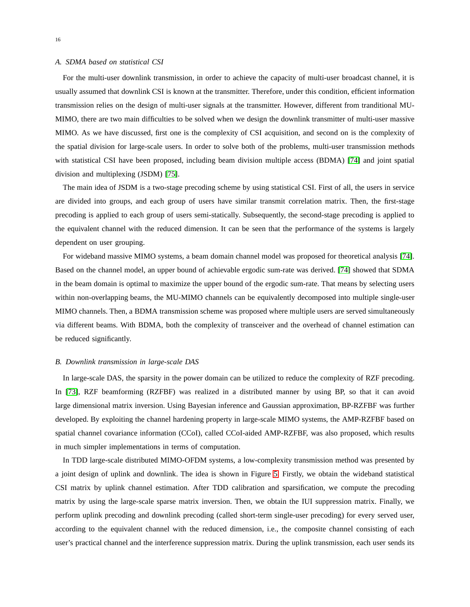## *A. SDMA based on statistical CSI*

For the multi-user downlink transmission, in order to achieve the capacity of multi-user broadcast channel, it is usually assumed that downlink CSI is known at the transmitter. Therefore, under this condition, efficient information transmission relies on the design of multi-user signals at the transmitter. However, different from tranditional MU-MIMO, there are two main difficulties to be solved when we design the downlink transmitter of multi-user massive MIMO. As we have discussed, first one is the complexity of CSI acquisition, and second on is the complexity of the spatial division for large-scale users. In order to solve both of the problems, multi-user transmission methods with statistical CSI have been proposed, including beam division multiple access (BDMA) [\[74\]](#page-21-11) and joint spatial division and multiplexing (JSDM) [\[75\]](#page-21-12).

The main idea of JSDM is a two-stage precoding scheme by using statistical CSI. First of all, the users in service are divided into groups, and each group of users have similar transmit correlation matrix. Then, the first-stage precoding is applied to each group of users semi-statically. Subsequently, the second-stage precoding is applied to the equivalent channel with the reduced dimension. It can be seen that the performance of the systems is largely dependent on user grouping.

For wideband massive MIMO systems, a beam domain channel model was proposed for theoretical analysis [\[74\]](#page-21-11). Based on the channel model, an upper bound of achievable ergodic sum-rate was derived. [\[74\]](#page-21-11) showed that SDMA in the beam domain is optimal to maximize the upper bound of the ergodic sum-rate. That means by selecting users within non-overlapping beams, the MU-MIMO channels can be equivalently decomposed into multiple single-user MIMO channels. Then, a BDMA transmission scheme was proposed where multiple users are served simultaneously via different beams. With BDMA, both the complexity of transceiver and the overhead of channel estimation can be reduced significantly.

### *B. Downlink transmission in large-scale DAS*

In large-scale DAS, the sparsity in the power domain can be utilized to reduce the complexity of RZF precoding. In [\[73\]](#page-21-10), RZF beamforming (RZFBF) was realized in a distributed manner by using BP, so that it can avoid large dimensional matrix inversion. Using Bayesian inference and Gaussian approximation, BP-RZFBF was further developed. By exploiting the channel hardening property in large-scale MIMO systems, the AMP-RZFBF based on spatial channel covariance information (CCoI), called CCoI-aided AMP-RZFBF, was also proposed, which results in much simpler implementations in terms of computation.

In TDD large-scale distributed MIMO-OFDM systems, a low-complexity transmission method was presented by a joint design of uplink and downlink. The idea is shown in Figure [5.](#page-16-0) Firstly, we obtain the wideband statistical CSI matrix by uplink channel estimation. After TDD calibration and sparsification, we compute the precoding matrix by using the large-scale sparse matrix inversion. Then, we obtain the IUI suppression matrix. Finally, we perform uplink precoding and downlink precoding (called short-term single-user precoding) for every served user, according to the equivalent channel with the reduced dimension, i.e., the composite channel consisting of each user's practical channel and the interference suppression matrix. During the uplink transmission, each user sends its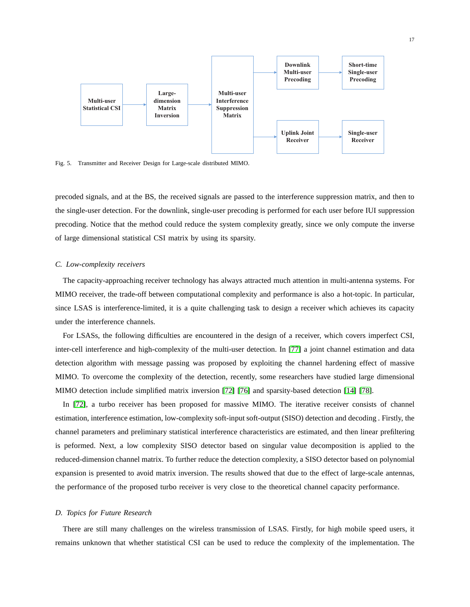

<span id="page-16-0"></span>Fig. 5. Transmitter and Receiver Design for Large-scale distributed MIMO.

precoded signals, and at the BS, the received signals are passed to the interference suppression matrix, and then to the single-user detection. For the downlink, single-user precoding is performed for each user before IUI suppression precoding. Notice that the method could reduce the system complexity greatly, since we only compute the inverse of large dimensional statistical CSI matrix by using its sparsity.

### *C. Low-complexity receivers*

The capacity-approaching receiver technology has always attracted much attention in multi-antenna systems. For MIMO receiver, the trade-off between computational complexity and performance is also a hot-topic. In particular, since LSAS is interference-limited, it is a quite challenging task to design a receiver which achieves its capacity under the interference channels.

For LSASs, the following difficulties are encountered in the design of a receiver, which covers imperfect CSI, inter-cell interference and high-complexity of the multi-user detection. In [\[77\]](#page-21-13) a joint channel estimation and data detection algorithm with message passing was proposed by exploiting the channel hardening effect of massive MIMO. To overcome the complexity of the detection, recently, some researchers have studied large dimensional MIMO detection include simplified matrix inversion [\[72\]](#page-21-9) [\[76\]](#page-21-14) and sparsity-based detection [\[14\]](#page-19-1) [\[78\]](#page-21-15).

In [\[72\]](#page-21-9), a turbo receiver has been proposed for massive MIMO. The iterative receiver consists of channel estimation, interference estimation, low-complexity soft-input soft-output (SISO) detection and decoding . Firstly, the channel parameters and preliminary statistical interference characteristics are estimated, and then linear prefiltering is peformed. Next, a low complexity SISO detector based on singular value decomposition is applied to the reduced-dimension channel matrix. To further reduce the detection complexity, a SISO detector based on polynomial expansion is presented to avoid matrix inversion. The results showed that due to the effect of large-scale antennas, the performance of the proposed turbo receiver is very close to the theoretical channel capacity performance.

#### *D. Topics for Future Research*

There are still many challenges on the wireless transmission of LSAS. Firstly, for high mobile speed users, it remains unknown that whether statistical CSI can be used to reduce the complexity of the implementation. The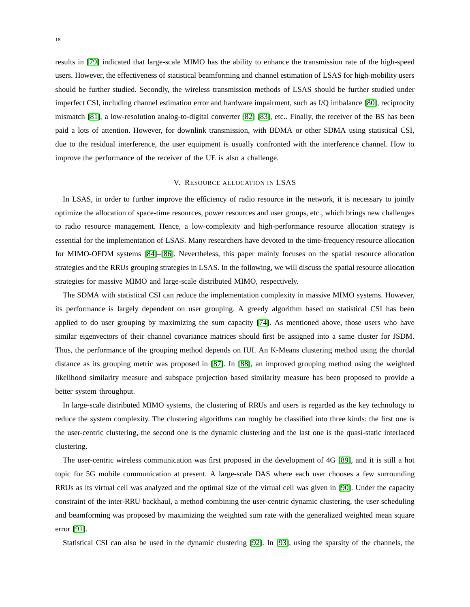results in [\[79\]](#page-21-16) indicated that large-scale MIMO has the ability to enhance the transmission rate of the high-speed users. However, the effectiveness of statistical beamforming and channel estimation of LSAS for high-mobility users should be further studied. Secondly, the wireless transmission methods of LSAS should be further studied under imperfect CSI, including channel estimation error and hardware impairment, such as I/Q imbalance [\[80\]](#page-21-17), reciprocity mismatch [\[81\]](#page-21-18), a low-resolution analog-to-digital converter [\[82\]](#page-21-19) [\[83\]](#page-22-0), etc.. Finally, the receiver of the BS has been paid a lots of attention. However, for downlink transmission, with BDMA or other SDMA using statistical CSI, due to the residual interference, the user equipment is usually confronted with the interference channel. How to improve the performance of the receiver of the UE is also a challenge.

# V. RESOURCE ALLOCATION IN LSAS

In LSAS, in order to further improve the efficiency of radio resource in the network, it is necessary to jointly optimize the allocation of space-time resources, power resources and user groups, etc., which brings new challenges to radio resource management. Hence, a low-complexity and high-performance resource allocation strategy is essential for the implementation of LSAS. Many researchers have devoted to the time-frequency resource allocation for MIMO-OFDM systems [\[84\]](#page-22-1)–[\[86\]](#page-22-2). Nevertheless, this paper mainly focuses on the spatial resource allocation strategies and the RRUs grouping strategies in LSAS. In the following, we will discuss the spatial resource allocation strategies for massive MIMO and large-scale distributed MIMO, respectively.

The SDMA with statistical CSI can reduce the implementation complexity in massive MIMO systems. However, its performance is largely dependent on user grouping. A greedy algorithm based on statistical CSI has been applied to do user grouping by maximizing the sum capacity [\[74\]](#page-21-11). As mentioned above, those users who have similar eigenvectors of their channel covariance matrices should first be assigned into a same cluster for JSDM. Thus, the performance of the grouping method depends on IUI. An K-Means clustering method using the chordal distance as its grouping metric was proposed in [\[87\]](#page-22-3). In [\[88\]](#page-22-4), an improved grouping method using the weighted likelihood similarity measure and subspace projection based similarity measure has been proposed to provide a better system throughput.

In large-scale distributed MIMO systems, the clustering of RRUs and users is regarded as the key technology to reduce the system complexity. The clustering algorithms can roughly be classified into three kinds: the first one is the user-centric clustering, the second one is the dynamic clustering and the last one is the quasi-static interlaced clustering.

The user-centric wireless communication was first proposed in the development of 4G [\[89\]](#page-22-5), and it is still a hot topic for 5G mobile communication at present. A large-scale DAS where each user chooses a few surrounding RRUs as its virtual cell was analyzed and the optimal size of the virtual cell was given in [\[90\]](#page-22-6). Under the capacity constraint of the inter-RRU backhaul, a method combining the user-centric dynamic clustering, the user scheduling and beamforming was proposed by maximizing the weighted sum rate with the generalized weighted mean square error [\[91\]](#page-22-7).

Statistical CSI can also be used in the dynamic clustering [\[92\]](#page-22-8). In [\[93\]](#page-22-9), using the sparsity of the channels, the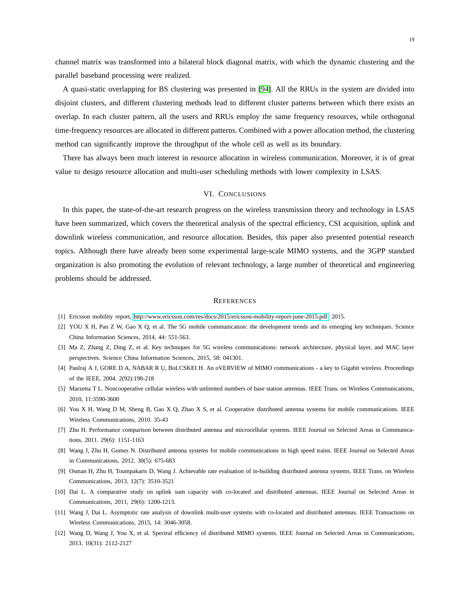channel matrix was transformed into a bilateral block diagonal matrix, with which the dynamic clustering and the parallel baseband processing were realized.

A quasi-static overlapping for BS clustering was presented in [\[94\]](#page-22-10). All the RRUs in the system are divided into disjoint clusters, and different clustering methods lead to different cluster patterns between which there exists an overlap. In each cluster pattern, all the users and RRUs employ the same frequency resources, while orthogonal time-frequency resources are allocated in different patterns. Combined with a power allocation method, the clustering method can significantly improve the throughput of the whole cell as well as its boundary.

There has always been much interest in resource allocation in wireless communication. Moreover, it is of great value to design resource allocation and multi-user scheduling methods with lower complexity in LSAS.

# VI. CONCLUSIONS

In this paper, the state-of-the-art research progress on the wireless transmission theory and technology in LSAS have been summarized, which covers the theoretical analysis of the spectral efficiency, CSI acquisition, uplink and downlink wireless communication, and resource allocation. Besides, this paper also presented potential research topics. Although there have already been some experimental large-scale MIMO systems, and the 3GPP standard organization is also promoting the evolution of relevant technology, a large number of theoretical and engineering problems should be addressed.

#### **REFERENCES**

- <span id="page-18-1"></span><span id="page-18-0"></span>[1] Ericsson mobility report, [http://www.ericsson.com/res/docs/2015/ericsson-mobility-report-june-2015.pdf,](http://www.ericsson.com/res/docs/2015/ericsson-mobility-report-june-2015.pdf) 2015.
- <span id="page-18-2"></span>[2] YOU X H, Pan Z W, Gao X Q, et al. The 5G mobile communication: the development trends and its emerging key techniques. Science China Information Sciences, 2014, 44: 551-563.
- <span id="page-18-3"></span>[3] Ma Z, Zhang Z, Ding Z, et al. Key techniques for 5G wireless communications: network architecture, physical layer, and MAC layer perspectives. Science China Information Sciences, 2015, 58: 041301.
- <span id="page-18-4"></span>[4] Paulraj A J, GORE D A, NABAR R U, BoLCSKEI H. An oVERVIEW of MIMO communications - a key to Gigabit wireless. Proceedings of the IEEE, 2004. 2(92):198-218
- <span id="page-18-5"></span>[5] Marzetta T L. Noncooperative cellular wireless with unlimited numbers of base station antennas. IEEE Trans. on Wireless Communications, 2010, 11:3590-3600
- [6] You X H, Wang D M, Sheng B, Gao X Q, Zhao X S, et al. Cooperative distributed antenna systems for mobile communications. IEEE Wireless Communications, 2010. 35-43
- [7] Zhu H. Performance comparison between distributed antenna and microcellular systems. IEEE Journal on Selected Areas in Communications, 2011. 29(6): 1151-1163
- <span id="page-18-6"></span>[8] Wang J, Zhu H, Gomes N. Distributed antenna systems for mobile communications in high speed trains. IEEE Journal on Selected Areas in Communications, 2012. 30(5): 675-683
- <span id="page-18-7"></span>[9] Osman H, Zhu H, Toumpakaris D, Wang J. Achievable rate evaluation of in-building distributed antenna systems. IEEE Trans. on Wireless Communications, 2013. 12(7): 3510-3521
- [10] Dai L. A comparative study on uplink sum capacity with co-located and distributed antennas. IEEE Journal on Selected Areas in Communications, 2011, 29(6): 1200-1213.
- <span id="page-18-8"></span>[11] Wang J, Dai L. Asymptotic rate analysis of downlink multi-user systems with co-located and distributed antennas. IEEE Transactions on Wireless Communications, 2015, 14: 3046-3058.
- [12] Wang D, Wang J, You X, et al. Spectral efficiency of distributed MIMO systems. IEEE Journal on Selected Areas in Communications, 2013. 10(31): 2112-2127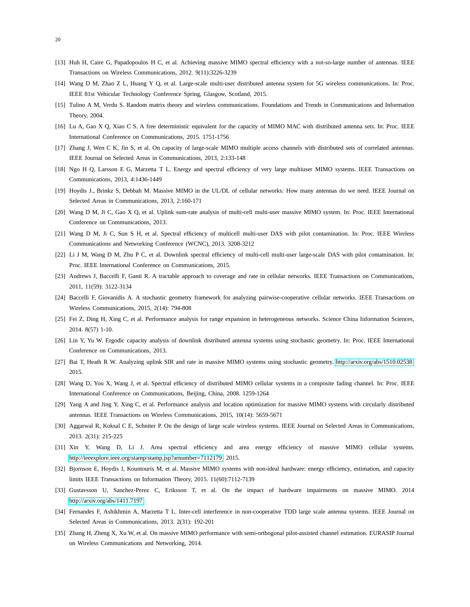- <span id="page-19-1"></span><span id="page-19-0"></span>[13] Huh H, Caire G, Papadopoulos H C, et al. Achieving massive MIMO spectral efficiency with a not-so-large number of antennas. IEEE Transactions on Wireless Communications, 2012. 9(11):3226-3239
- <span id="page-19-2"></span>[14] Wang D M, Zhao Z L, Huang Y Q, et al. Large-scale multi-user distributed antenna system for 5G wireless communications. In: Proc. IEEE 81st Vehicular Technology Conference Spring, Glasgow, Scotland, 2015.
- <span id="page-19-3"></span>[15] Tulino A M, Verdu S. Random matrix theory and wireless communications. Foundations and Trends in Communications and Information Theory, 2004.
- <span id="page-19-4"></span>[16] Lu A, Gao X Q, Xiao C S. A free deterministic equivalent for the capacity of MIMO MAC with distributed antenna sets. In: Proc. IEEE International Conference on Communications, 2015. 1751-1756
- <span id="page-19-5"></span>[17] Zhang J, Wen C K, Jin S, et al. On capacity of large-scale MIMO multiple access channels with distributed sets of correlated antennas. IEEE Journal on Selected Areas in Communications, 2013, 2:133-148
- <span id="page-19-6"></span>[18] Ngo H Q, Larsson E G, Marzetta T L. Energy and spectral efficiency of very large multiuser MIMO systems. IEEE Transactions on Communications, 2013, 4:1436-1449
- <span id="page-19-7"></span>[19] Hoydis J., Brinkz S, Debbah M. Massive MIMO in the UL/DL of cellular networks: How many antennas do we need. IEEE Journal on Selected Areas in Communications, 2013, 2:160-171
- <span id="page-19-8"></span>[20] Wang D M, Ji C, Gao X Q, et al. Uplink sum-rate analysis of multi-cell multi-user massive MIMO system. In: Proc. IEEE International Conference on Communications, 2013.
- <span id="page-19-9"></span>[21] Wang D M, Ji C, Sun S H, et al. Spectral efficiency of multicell multi-user DAS with pilot contamination. In: Proc. IEEE Wireless Communications and Networking Conference (WCNC), 2013. 3208-3212
- <span id="page-19-10"></span>[22] Li J M, Wang D M, Zhu P C, et al. Downlink spectral efficiency of multi-cell multi-user large-scale DAS with pilot contamination. In: Proc. IEEE International Conference on Communications, 2015.
- <span id="page-19-11"></span>[23] Andrews J, Baccelli F, Ganti R. A tractable approach to coverage and rate in cellular networks. IEEE Transactions on Communications, 2011, 11(59): 3122-3134
- <span id="page-19-12"></span>[24] Baccelli F, Giovanidis A. A stochastic geometry framework for analyzing pairwise-cooperative cellular networks. IEEE Transactions on Wireless Communications, 2015, 2(14): 794-808
- <span id="page-19-13"></span>[25] Fei Z, Ding H, Xing C, et al. Performance analysis for range expansion in heterogeneous networks. Science China Information Sciences, 2014. 8(57) 1-10.
- <span id="page-19-14"></span>[26] Lin Y, Yu W. Ergodic capacity analysis of downlink distributed antenna systems using stochastic geometry. In: Proc. IEEE International Conference on Communications, 2013.
- <span id="page-19-15"></span>[27] Bai T, Heath R W. Analyzing uplink SIR and rate in massive MIMO systems using stochastic geometry. [http://arxiv.org/abs/1510.02538,](http://arxiv.org/abs/1510.02538) 2015.
- <span id="page-19-16"></span>[28] Wang D, You X, Wang J, et al. Spectral efficiency of distributed MIMO cellular systems in a composite fading channel. In: Proc. IEEE International Conference on Communications, Beijing, China, 2008. 1259-1264
- <span id="page-19-17"></span>[29] Yang A and Jing Y, Xing C, et al. Performance analysis and location optimization for massive MIMO systems with circularly distributed antennas. IEEE Transactions on Wireless Communications, 2015, 10(14): 5659-5671
- <span id="page-19-18"></span>[30] Aggarwal R, Koksal C E, Schniter P. On the design of large scale wireless systems. IEEE Journal on Selected Areas in Communications, 2013. 2(31): 215-225
- <span id="page-19-19"></span>[31] Xin Y, Wang D, Li J. Area spectral efficiency and area energy efficiency of massive MIMO cellular systems. [http://ieeexplore.ieee.org/stamp/stamp.jsp?arnumber=7112179,](http://ieeexplore.ieee.org/stamp/stamp.jsp?arnumber=7112179) 2015.
- <span id="page-19-20"></span>[32] Bjornson E, Hoydis J, Kountouris M, et al. Massive MIMO systems with non-ideal hardware: energy efficiency, estimation, and capacity limits IEEE Transactions on Information Theory, 2015. 11(60):7112-7139
- <span id="page-19-21"></span>[33] Gustavsson U, Sanchez-Perez C, Eriksson T, et al. On the impact of hardware impairments on massive MIMO. 2014 <http://arxiv.org/abs/1411.7197>
- <span id="page-19-22"></span>[34] Fernandes F, Ashikhmin A, Marzetta T L. Inter-cell interference in non-cooperative TDD large scale antenna systems. IEEE Journal on Selected Areas in Communications, 2013. 2(31): 192-201
- [35] Zhang H, Zheng X, Xu W, et al. On massive MIMO performance with semi-orthogonal pilot-assisted channel estimation. EURASIP Journal on Wireless Communications and Networking, 2014.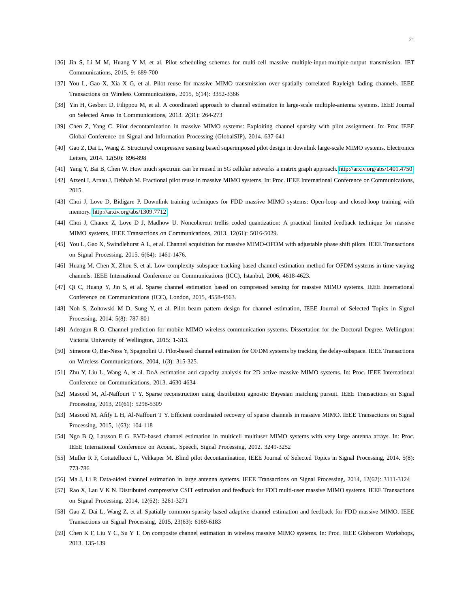- <span id="page-20-1"></span><span id="page-20-0"></span>[36] Jin S, Li M M, Huang Y M, et al. Pilot scheduling schemes for multi-cell massive multiple-input-multiple-output transmission. IET Communications, 2015, 9: 689-700
- <span id="page-20-2"></span>[37] You L, Gao X, Xia X G, et al. Pilot reuse for massive MIMO transmission over spatially correlated Rayleigh fading channels. IEEE Transactions on Wireless Communications, 2015, 6(14): 3352-3366
- <span id="page-20-3"></span>[38] Yin H, Gesbert D, Filippou M, et al. A coordinated approach to channel estimation in large-scale multiple-antenna systems. IEEE Journal on Selected Areas in Communications, 2013. 2(31): 264-273
- <span id="page-20-4"></span>[39] Chen Z, Yang C. Pilot decontamination in massive MIMO systems: Exploiting channel sparsity with pilot assignment. In: Proc IEEE Global Conference on Signal and Information Processing (GlobalSIP), 2014. 637-641
- <span id="page-20-5"></span>[40] Gao Z, Dai L, Wang Z. Structured compressive sensing based superimposed pilot design in downlink large-scale MIMO systems. Electronics Letters, 2014. 12(50): 896-898
- <span id="page-20-6"></span>[41] Yang Y, Bai B, Chen W. How much spectrum can be reused in 5G cellular networks a matrix graph approach. [http://arxiv.org/abs/1401.4750.](http://arxiv.org/abs/1401.4750)
- <span id="page-20-7"></span>[42] Atzeni I, Arnau J, Debbah M. Fractional pilot reuse in massive MIMO systems. In: Proc. IEEE International Conference on Communications, 2015.
- [43] Choi J, Love D, Bidigare P. Downlink training techniques for FDD massive MIMO systems: Open-loop and closed-loop training with memory. [http://arxiv.org/abs/1309.7712.](http://arxiv.org/abs/1309.7712)
- <span id="page-20-8"></span>[44] Choi J, Chance Z, Love D J, Madhow U. Noncoherent trellis coded quantization: A practical limited feedback technique for massive MIMO systems, IEEE Transactions on Communications, 2013. 12(61): 5016-5029.
- <span id="page-20-10"></span>[45] You L, Gao X, Swindlehurst A L, et al. Channel acquisition for massive MIMO-OFDM with adjustable phase shift pilots. IEEE Transactions on Signal Processing, 2015. 6(64): 1461-1476.
- <span id="page-20-13"></span>[46] Huang M, Chen X, Zhou S, et al. Low-complexity subspace tracking based channel estimation method for OFDM systems in time-varying channels. IEEE International Conference on Communications (ICC), Istanbul, 2006, 4618-4623.
- [47] Qi C, Huang Y, Jin S, et al. Sparse channel estimation based on compressed sensing for massive MIMO systems. IEEE International Conference on Communications (ICC), London, 2015, 4558-4563.
- <span id="page-20-9"></span>[48] Noh S, Zoltowski M D, Sung Y, et al. Pilot beam pattern design for channel estimation, IEEE Journal of Selected Topics in Signal Processing, 2014. 5(8): 787-801
- <span id="page-20-11"></span>[49] Adeogun R O. Channel prediction for mobile MIMO wireless communication systems. Dissertation for the Doctoral Degree. Wellington: Victoria University of Wellington, 2015: 1-313.
- <span id="page-20-12"></span>[50] Simeone O, Bar-Ness Y, Spagnolini U. Pilot-based channel estimation for OFDM systems by tracking the delay-subspace. IEEE Transactions on Wireless Communications, 2004, 1(3): 315-325.
- <span id="page-20-15"></span>[51] Zhu Y, Liu L, Wang A, et al. DoA estimation and capacity analysis for 2D active massive MIMO systems. In: Proc. IEEE International Conference on Communications, 2013. 4630-4634
- <span id="page-20-14"></span>[52] Masood M, Al-Naffouri T Y. Sparse reconstruction using distribution agnostic Bayesian matching pursuit. IEEE Transactions on Signal Processing, 2013, 21(61): 5298-5309
- <span id="page-20-16"></span>[53] Masood M, Afify L H, Al-Naffouri T Y. Efficient coordinated recovery of sparse channels in massive MIMO. IEEE Transactions on Signal Processing, 2015, 1(63): 104-118
- <span id="page-20-17"></span>[54] Ngo B Q, Larsson E G. EVD-based channel estimation in multicell multiuser MIMO systems with very large antenna arrays. In: Proc. IEEE International Conference on Acoust., Speech, Signal Processing, 2012. 3249-3252
- <span id="page-20-18"></span>[55] Muller R F, Cottatellucci L, Vehkaper M. Blind pilot decontamination, IEEE Journal of Selected Topics in Signal Processing, 2014. 5(8): 773-786
- <span id="page-20-19"></span>[56] Ma J, Li P. Data-aided channel estimation in large antenna systems. IEEE Transactions on Signal Processing, 2014, 12(62): 3111-3124
- <span id="page-20-20"></span>[57] Rao X, Lau V K N. Distributed compressive CSIT estimation and feedback for FDD multi-user massive MIMO systems. IEEE Transactions on Signal Processing, 2014, 12(62): 3261-3271
- <span id="page-20-21"></span>[58] Gao Z, Dai L, Wang Z, et al. Spatially common sparsity based adaptive channel estimation and feedback for FDD massive MIMO. IEEE Transactions on Signal Processing, 2015, 23(63): 6169-6183
- [59] Chen K F, Liu Y C, Su Y T. On composite channel estimation in wireless massive MIMO systems. In: Proc. IEEE Globecom Workshops, 2013. 135-139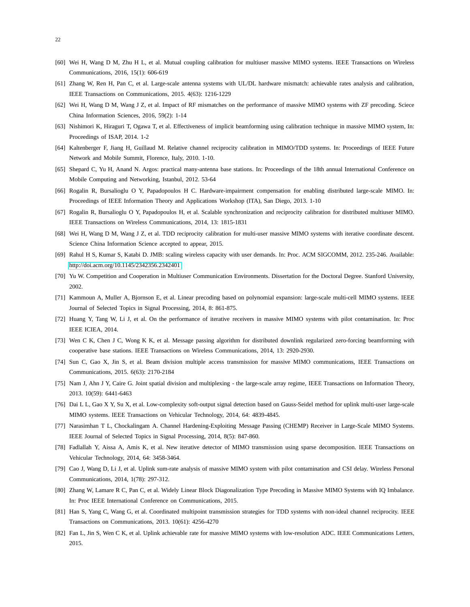- <span id="page-21-0"></span>[60] Wei H, Wang D M, Zhu H L, et al. Mutual coupling calibration for multiuser massive MIMO systems. IEEE Transactions on Wireless Communications, 2016, 15(1): 606-619
- <span id="page-21-1"></span>[61] Zhang W, Ren H, Pan C, et al. Large-scale antenna systems with UL/DL hardware mismatch: achievable rates analysis and calibration, IEEE Transactions on Communications, 2015. 4(63): 1216-1229
- <span id="page-21-2"></span>[62] Wei H, Wang D M, Wang J Z, et al. Impact of RF mismatches on the performance of massive MIMO systems with ZF precoding. Sciece China Information Sciences, 2016, 59(2): 1-14
- <span id="page-21-3"></span>[63] Nishimori K, Hiraguri T, Ogawa T, et al. Effectiveness of implicit beamforming using calibration technique in massive MIMO system, In: Proceedings of ISAP, 2014. 1-2
- <span id="page-21-4"></span>[64] Kaltenberger F, Jiang H, Guillaud M. Relative channel reciprocity calibration in MIMO/TDD systems. In: Proceedings of IEEE Future Network and Mobile Summit, Florence, Italy, 2010. 1-10.
- <span id="page-21-5"></span>[65] Shepard C, Yu H, Anand N. Argos: practical many-antenna base stations. In: Proceedings of the 18th annual International Conference on Mobile Computing and Networking, Istanbul, 2012. 53-64
- <span id="page-21-6"></span>[66] Rogalin R, Bursalioglu O Y, Papadopoulos H C. Hardware-impairment compensation for enabling distributed large-scale MIMO. In: Proceedings of IEEE Information Theory and Applications Workshop (ITA), San Diego, 2013. 1-10
- <span id="page-21-7"></span>[67] Rogalin R, Bursalioglu O Y, Papadopoulos H, et al. Scalable synchronization and reciprocity calibration for distributed multiuser MIMO. IEEE Transactions on Wireless Communications, 2014, 13: 1815-1831
- [68] Wei H, Wang D M, Wang J Z, et al. TDD reciprocity calibration for multi-user massive MIMO systems with iterative coordinate descent. Science China Information Science accepted to appear, 2015.
- [69] Rahul H S, Kumar S, Katabi D. JMB: scaling wireless capacity with user demands. In: Proc. ACM SIGCOMM, 2012. 235-246. Available: <http://doi.acm.org/10.1145/2342356.2342401>
- <span id="page-21-8"></span>[70] Yu W. Competition and Cooperation in Multiuser Communication Environments. Dissertation for the Doctoral Degree. Stanford University, 2002.
- <span id="page-21-9"></span>[71] Kammoun A, Muller A, Bjornson E, et al. Linear precoding based on polynomial expansion: large-scale multi-cell MIMO systems. IEEE Journal of Selected Topics in Signal Processing, 2014, 8: 861-875.
- <span id="page-21-10"></span>[72] Huang Y, Tang W, Li J, et al. On the performance of iterative receivers in massive MIMO systems with pilot contamination. In: Proc IEEE ICIEA, 2014.
- <span id="page-21-11"></span>[73] Wen C K, Chen J C, Wong K K, et al. Message passing algorithm for distributed downlink regularized zero-forcing beamforming with cooperative base stations. IEEE Transactions on Wireless Communications, 2014, 13: 2920-2930.
- <span id="page-21-12"></span>[74] Sun C, Gao X, Jin S, et al. Beam division multiple access transmission for massive MIMO communications, IEEE Transactions on Communications, 2015. 6(63): 2170-2184
- <span id="page-21-14"></span>[75] Nam J, Ahn J Y, Caire G. Joint spatial division and multiplexing - the large-scale array regime, IEEE Transactions on Information Theory, 2013. 10(59): 6441-6463
- <span id="page-21-13"></span>[76] Dai L L, Gao X Y, Su X, et al. Low-complexity soft-output signal detection based on Gauss-Seidel method for uplink multi-user large-scale MIMO systems. IEEE Transactions on Vehicular Technology, 2014, 64: 4839-4845.
- <span id="page-21-15"></span>[77] Narasimhan T L, Chockalingam A. Channel Hardening-Exploiting Message Passing (CHEMP) Receiver in Large-Scale MIMO Systems. IEEE Journal of Selected Topics in Signal Processing, 2014, 8(5): 847-860.
- <span id="page-21-16"></span>[78] Fadlallah Y, Aissa A, Amis K, et al. New iterative detector of MIMO transmission using sparse decomposition. IEEE Transactions on Vehicular Technology, 2014, 64: 3458-3464.
- <span id="page-21-17"></span>[79] Cao J, Wang D, Li J, et al. Uplink sum-rate analysis of massive MIMO system with pilot contamination and CSI delay. Wireless Personal Communications, 2014, 1(78): 297-312.
- <span id="page-21-18"></span>[80] Zhang W, Lamare R C, Pan C, et al. Widely Linear Block Diagonalization Type Precoding in Massive MIMO Systems with IQ Imbalance. In: Proc IEEE International Conference on Communications, 2015.
- <span id="page-21-19"></span>[81] Han S, Yang C, Wang G, et al. Coordinated multipoint transmission strategies for TDD systems with non-ideal channel reciprocity. IEEE Transactions on Communications, 2013. 10(61): 4256-4270
- [82] Fan L, Jin S, Wen C K, et al. Uplink achievable rate for massive MIMO systems with low-resolution ADC. IEEE Communications Letters, 2015.